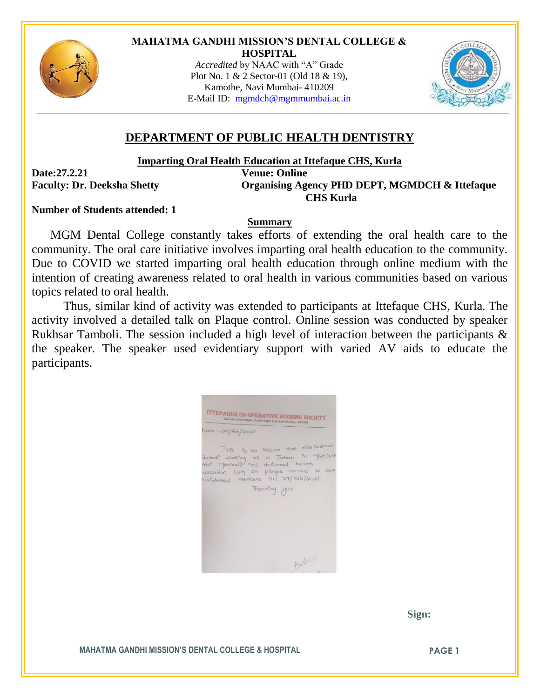

## **MAHATMA GANDHI MISSION'S DENTAL COLLEGE & HOSPITAL**

*Accredited* by NAAC with "A" Grade Plot No. 1 & 2 Sector-01 (Old 18 & 19), Kamothe, Navi Mumbai- 410209 E-Mail ID: [mgmdch@mgmmumbai.ac.in](mailto:mgmdch@mgmmumbai.ac.in)



## **DEPARTMENT OF PUBLIC HEALTH DENTISTRY**

**Imparting Oral Health Education at Ittefaque CHS, Kurla**

**Date:27.2.21 Venue: Online**

**Faculty: Dr. Deeksha Shetty Organising Agency PHD DEPT, MGMDCH & Ittefaque CHS Kurla**

## **Number of Students attended: 1**

## **Summary**

MGM Dental College constantly takes efforts of extending the oral health care to the community. The oral care initiative involves imparting oral health education to the community. Due to COVID we started imparting oral health education through online medium with the intention of creating awareness related to oral health in various communities based on various topics related to oral health.

Thus, similar kind of activity was extended to participants at Ittefaque CHS, Kurla. The activity involved a detailed talk on Plaque control. Online session was conducted by speaker Rukhsar Tamboli. The session included a high level of interaction between the participants & the speaker. The speaker used evidentiary support with varied AV aids to educate the participants.



 **Sign:**

**MAHATMA GANDHI MISSION'S DENTAL COLLEGE & HOSPITAL PAGE 1**